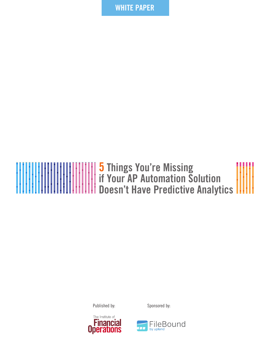**WHITE PAPER**

# **5 Things You're Missing if Your AP Automation Solution Doesn't Have Predictive Analytics**

Published by: Sponsored by:





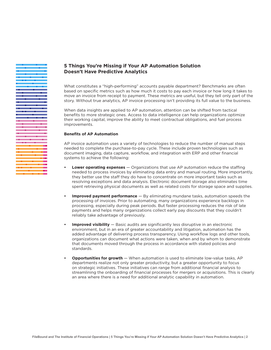### **5 Things You're Missing if Your AP Automation Solution Doesn't Have Predictive Analytics**

What constitutes a "high-performing" accounts payable department? Benchmarks are often based on specific metrics such as how much it costs to pay each invoice or how long it takes to move an invoice from receipt to payment. These metrics are useful, but they tell only part of the story. Without true analytics, AP invoice processing isn't providing its full value to the business.

When data insights are applied to AP automation, attention can be shifted from tactical benefits to more strategic ones. Access to data intelligence can help organizations optimize their working capital, improve the ability to meet contractual obligations, and fuel process improvements.

#### **Benefits of AP Automation**

AP invoice automation uses a variety of technologies to reduce the number of manual steps needed to complete the purchase-to-pay cycle. These include proven technologies such as document imaging, data capture, workflow, and integration with ERP and other financial systems to achieve the following:

- **• Lower operating expenses** Organizations that use AP automation reduce the staffing needed to process invoices by eliminating data entry and manual routing. More importantly, they better use the staff they do have to concentrate on more important tasks such as resolving exceptions and data analysis. Electronic document storage also eliminates time spent retrieving physical documents as well as related costs for storage space and supplies.
- **• Improved payment performance** By eliminating mundane tasks, automation speeds the processing of invoices. Prior to automating, many organizations experience backlogs in processing, especially during peak periods. But faster processing reduces the risk of late payments and helps many organizations collect early pay discounts that they couldn't reliably take advantage of previously.
- **Improved visibility** Basic audits are significantly less disruptive in an electronic environment, but in an era of greater accountability and litigation, automation has the added advantage of delivering process transparency. Using workflow logs and other tools, organizations can document what actions were taken, when and by whom to demonstrate that documents moved through the process in accordance with stated policies and standards.
- **• Opportunities for growth** When automation is used to eliminate low-value tasks, AP departments realize not only greater productivity, but a greater opportunity to focus on strategic initiatives. These initiatives can range from additional financial analysis to streamlining the onboarding of financial processes for mergers or acquisitions. This is clearly an area where there is a need for additional analytic capability in automation.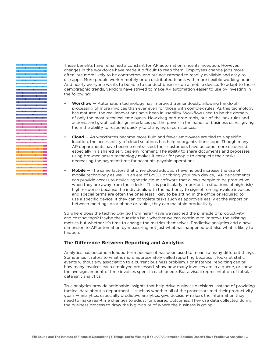

These benefits have remained a constant for AP automation since its inception. However, changes in the workforce have made it difficult to reap them. Employees change jobs more often, are more likely to be contractors, and are accustomed to readily available and easy-touse apps. More people work remotely or on distributed teams with more flexible working hours. And nearly everyone wants to be able to conduct business on a mobile device. To adapt to these demographic trends, vendors have strived to make AP automation easier to use by investing in the following:

- **• Workflow**  Automation technology has improved tremendously, allowing hands-off processing of more invoices than ever even for those with complex rules. As this technology has matured, the real innovations have been in usability. Workflow used to be the domain of only the most technical employees. Now drag-and-drop tools, out-of-the-box rules and actions, and graphical design interfaces put the power in the hands of business users, giving them the ability to respond quickly to changing circumstances.
- **• Cloud** As workforces become more fluid and fewer employees are tied to a specific location, the accessibility of cloud solutions has helped organizations cope. Though many AP departments have become centralized, their customers have become more dispersed, especially in a shared services environment. The ability to share documents and processes using browser-based technology makes it easier for people to complete their tasks, decreasing the payment time for accounts payable operations.
- **• Mobile** The same factors that drive cloud adoption have helped increase the use of mobile technology as well. In an era of BYOD, or "bring your own device," AP departments can provide access to device-agnostic cloud software that allows people to be productive when they are away from their desks. This is particularly important in situations of high risk/ high response because the individuals with the authority to sign off on high-value invoices and special terms are often the ones least likely to be sitting in the office or required to use a specific device. If they can complete tasks such as approvals easily at the airport or between meetings on a phone or tablet, they can maintain productivity.

So where does the technology go from here? Have we reached the pinnacle of productivity and cost savings? Maybe the question isn't whether we can continue to improve the existing metrics but whether it's time to change the metrics themselves. Predictive analytics add a new dimension to AP automation by measuring not just what has happened but also what is likely to happen.

#### **The Difference Between Reporting and Analytics**

Analytics has become a loaded term because it has been used to mean so many different things. Sometimes it refers to what is more appropriately called reporting because it looks at static events without any association to a current business problem. For instance, reporting can tell how many invoices each employee processed, show how many invoices are in a queue, or show the average amount of time invoices spent in each queue. But a visual representation of tabular data isn't analytics.

True analytics provide actionable insights that help drive business decisions. Instead of providing tactical data about a department — such as whether all of the processors met their productivity goals — analytics, especially predictive analytics, give decision-makers the information they need to make real-time changes to adjust for desired outcomes. They use data collected during the business process to draw the big picture of where the business is going.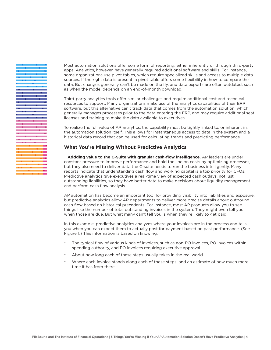Most automation solutions offer some form of reporting, either inherently or through third-party apps. Analytics, however, have generally required additional software and skills. For instance, some organizations use pivot tables, which require specialized skills and access to multiple data sources. If the right data is present, a pivot table offers some flexibility in how to compare the data. But changes generally can't be made on the fly, and data exports are often outdated, such as when the model depends on an end-of-month download.

Third-party analytics tools offer similar challenges and require additional cost and technical resources to support. Many organizations make use of the analytics capabilities of their ERP software, but this alternative can't track data that comes from the automation solution, which generally manages processes prior to the data entering the ERP, and may require additional seat licenses and training to make the data available to executives.

To realize the full value of AP analytics, the capability must be tightly linked to, or inherent in, the automation solution itself. This allows for instantaneous access to data in the system and a historical data record that can be used for calculating trends and predicting performance.

#### **What You're Missing Without Predictive Analytics**

1. **Addding value to the C-Suite with granular cash-flow intelligence.** AP leaders are under constant pressure to improve performance and hold the line on costs by optimizing processes, but they also need to deliver data the C-suite needs to run the business intelligently. Many reports indicate that understanding cash flow and working capital is a top priority for CFOs. Predictive analytics give executives a real-time view of expected cash outlays, not just outstanding liabilities, so they have better data to make decisions about liquidity management and perform cash flow analysis.

AP automation has become an important tool for providing visibility into liabilities and exposure, but predictive analytics allow AP departments to deliver more precise details about outbound cash flow based on historical precedents. For instance, most AP products allow you to see things like the number of total outstanding invoices in the system. They might even tell you when those are due. But what many can't tell you is when they're likely to get paid.

In this example, predictive analytics analyzes where your invoices are in the process and tells you when you can expect them to actually post for payment based on past performance. (See Figure 1.) This information is based on knowing:

- The typical flow of various kinds of invoices, such as non-PO invoices, PO invoices within spending authority, and PO invoices requiring executive approval.
- About how long each of these steps usually takes in the real world.
- Where each invoice stands along each of these steps, and an estimate of how much more time it has from there.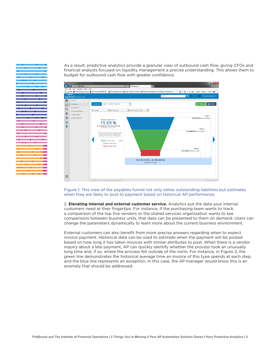As a result, predictive analytics provide a granular view of outbound cash flow, giving CFOs and financial analysts focused on liquidity management a precise understanding. This allows them to budget for outbound cash flow with greater confidence.



Figure 1: This view of the payables funnel not only tallies outstanding liabilities but estimates when they are likely to post to payment based on historical AP performance.

2. **Elevating internal and external customer service.** Analytics put the data your internal customers need at their fingertips. For instance, if the purchasing team wants to track a comparison of the top five vendors or the shared services organization wants to see comparisons between business units, that data can be presented to them on demand. Users can change the parameters dynamically to learn more about the current business environment.

External customers can also benefit from more precise answers regarding when to expect invoice payment. Historical data can be used to estimate when the payment will be posted based on how long it has taken invoices with similar attributes to post. When there is a vendor inquiry about a late payment, AP can quickly identify whether the process took an unusually long time and, if so, where the process fell outside of the norm. For instance, in Figure 2, the green line demonstrates the historical average time an invoice of this type spends at each step, and the blue line represents an exception. In this case, the AP manager would know this is an anomaly that should be addressed.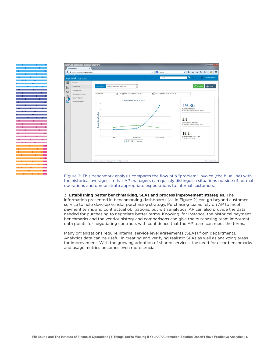

Figure 2: This benchmark analysis compares the flow of a "problem" invoice (the blue line) with the historical averages so that AP managers can quickly distinguish situations outside of normal operations and demonstrate appropriate expectations to internal customers.

3. **Establishing better benchmarking, SLAs and process improvement strategies.** The information presented in benchmarking dashboards (as in Figure 2) can go beyond customer service to help develop vendor purchasing strategy. Purchasing teams rely on AP to meet payment terms and contractual obligations, but with analytics, AP can also provide the data needed for purchasing to negotiate better terms. Knowing, for instance, the historical payment benchmarks and the vendor history and comparisons can give the purchasing team important data points for negotiating contracts with confidence that the AP team can meet the terms.

Many organizations require internal service level agreements (SLAs) from departments. Analytics data can be useful in creating and verifying realistic SLAs as well as analyzing areas for improvement. With the growing adoption of shared services, the need for clear benchmarks and usage metrics becomes even more crucial.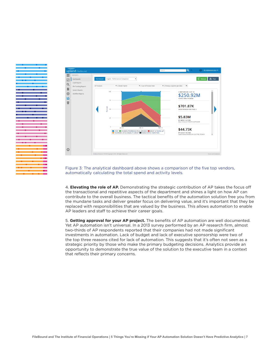

Figure 3: The analytical dashboard above shows a comparison of the five top vendors, automatically calculating the total spend and activity levels.

4. **Elevating the role of AP.** Demonstrating the strategic contribution of AP takes the focus off the transactional and repetitive aspects of the department and shines a light on how AP can contribute to the overall business. The tactical benefits of the automation solution free you from the mundane tasks and deliver greater focus on delivering value, and it's important that they be replaced with responsibilities that are valued by the business. This allows automation to enable AP leaders and staff to achieve their career goals.

5. **Getting approval for your AP project.** The benefits of AP automation are well documented. Yet AP automation isn't universal. In a 2013 survey performed by an AP research firm, almost two-thirds of AP respondents reported that their companies had not made significant investments in automation. Lack of budget and lack of executive sponsorship were two of the top three reasons cited for lack of automation. This suggests that it's often not seen as a strategic priority by those who make the primary budgeting decisions. Analytics provide an opportunity to demonstrate the true value of the solution to the executive team in a context that reflects their primary concerns.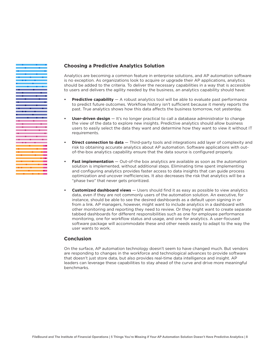### **Choosing a Predictive Analytics Solution**

Analytics are becoming a common feature in enterprise solutions, and AP automation software is no exception. As organizations look to acquire or upgrade their AP applications, analytics should be added to the criteria. To deliver the necessary capabilities in a way that is accessible to users and delivers the agility needed by the business, an analytics capability should have:

- **Predictive capability** A robust analytics tool will be able to evaluate past performance to predict future outcomes. Workflow history isn't sufficient because it merely reports the past. True analytics shows how this data affects the business tomorrow, not yesterday.
- **• User-driven design** It's no longer practical to call a database administrator to change the view of the data to explore new insights. Predictive analytics should allow business users to easily select the data they want and determine how they want to view it without IT requirements.
- **•• Direct connection to data** Third-party tools and integrations add layer of complexity and risk to obtaining accurate analytics about AP automation. Software applications with outof-the-box analytics capability ensure that the data source is configured properly.
- **• Fast implementation** Out-of-the box analytics are available as soon as the automation solution is implemented, without additional steps. Eliminating time spent implementing and configuring analytics provides faster access to data insights that can guide process optimization and uncover inefficiencies. It also decreases the risk that analytics will be a "phase two" that never gets prioritized.
- **• Customized dashboard views**  Users should find it as easy as possible to view analytics data, even if they are not commonly users of the automation solution. An executive, for instance, should be able to see the desired dashboards as a default upon signing in or from a link. AP managers, however, might want to include analytics in a dashboard with other monitoring and reporting they need to review. Or they might want to create separate tabbed dashboards for different responsibilities such as one for employee performance monitoring, one for workflow status and usage, and one for analytics. A user-focused software package will accommodate these and other needs easily to adapt to the way the user wants to work.

#### **Conclusion**

On the surface, AP automation technology doesn't seem to have changed much. But vendors are responding to changes in the workforce and technological advances to provide software that doesn't just store data, but also provides real-time data intelligence and insight. AP leaders can leverage these capabilities to stay ahead of the curve and drive more meaningful benchmarks.